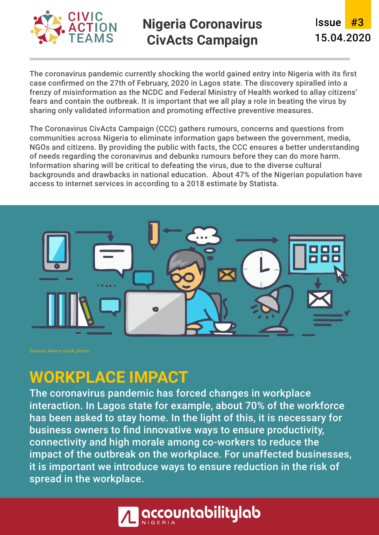

## **Nigeria Coronavirus CivActs Campaign**

**Issue** #3 15.04.2020

The coronavirus pandemic currently shocking the world gained entry into Nigeria with its first case confirmed on the 27th of February, 2020 in Lagos state. The discovery spiralled into a frenzy of misinformation as the NCDC and Federal Ministry of Health worked to allay citizens' fears and contain the outbreak. It is important that we all play a role in beating the virus by sharing only validated information and promoting effective preventive measures.

The Coronavirus CivActs Campaign (CCC) gathers rumours, concerns and questions from communities across Nigeria to eliminate information gaps between the government, media, NGOs and citizens. By providing the public with facts, the CCC ensures a better understanding of needs regarding the coronavirus and debunks rumours before they can do more harm. Information sharing will be critical to defeating the virus, due to the diverse cultural backgrounds and drawbacks in national education. About 47% of the Nigerian population have access to internet services in according to a 2018 estimate by Statista.



## **WORKPLACE IMPACT**

The coronavirus pandemic has forced changes in workplace interaction. In Lagos state for example, about 70% of the workforce has been asked to stay home. In the light of this, it is necessary for business owners to find innovative ways to ensure productivity, connectivity and high morale among co-workers to reduce the impact of the outbreak on the workplace. For unaffected businesses, it is important we introduce ways to ensure reduction in the risk of spread in the workplace.

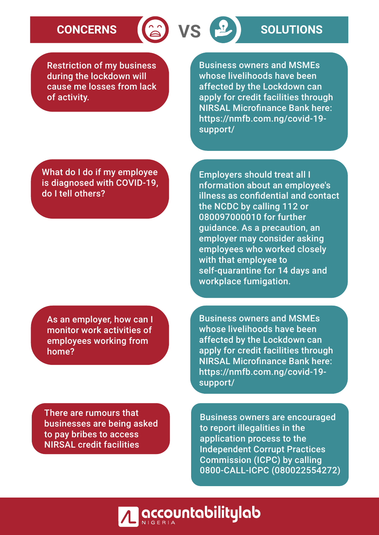# **CONCERNS (a) VS P SOLUTIONS**

Restriction of my business during the lockdown will cause me losses from lack of activity.

Business owners and MSMEs whose livelihoods have been affected by the Lockdown can apply for credit facilities through NIRSAL Microfinance Bank here: https://nmfb.com.ng/covid-19 support/

What do I do if my employee is diagnosed with COVID-19, do I tell others?

As an employer, how can I monitor work activities of employees working from home?

Employers should treat all I nformation about an employee's illness as confidential and contact the NCDC by calling 112 or 080097000010 for further guidance. As a precaution, an employer may consider asking employees who worked closely with that employee to self-quarantine for 14 days and workplace fumigation.

Business owners and MSMEs whose livelihoods have been affected by the Lockdown can apply for credit facilities through NIRSAL Microfinance Bank here: https://nmfb.com.ng/covid-19 support/

There are rumours that businesses are being asked to pay bribes to access NIRSAL credit facilities

Business owners are encouraged to report illegalities in the application process to the Independent Corrupt Practices Commission (ICPC) by calling 0800-CALL-ICPC (080022554272)

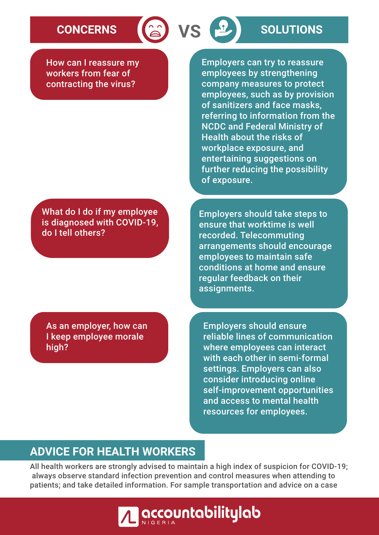How can I reassure my workers from fear of contracting the virus?

What do I do if my employee is diagnosed with COVID-19, do I tell others?

As an employer, how can I keep employee morale high?

**CONCERNS (a) VS B SOLUTIONS** 

Employers can try to reassure employees by strengthening company measures to protect employees, such as by provision of sanitizers and face masks, referring to information from the NCDC and Federal Ministry of Health about the risks of workplace exposure, and entertaining suggestions on further reducing the possibility of exposure.

Employers should take steps to ensure that worktime is well recorded. Telecommuting arrangements should encourage employees to maintain safe conditions at home and ensure regular feedback on their assignments.

Employers should ensure reliable lines of communication where employees can interact with each other in semi-formal settings. Employers can also consider introducing online self-improvement opportunities and access to mental health resources for employees.

### **ADVICE FOR HEALTH WORKERS**

All health workers are strongly advised to maintain a high index of suspicion for COVID-19; always observe standard infection prevention and control measures when attending to patients; and take detailed information. For sample transportation and advice on a case